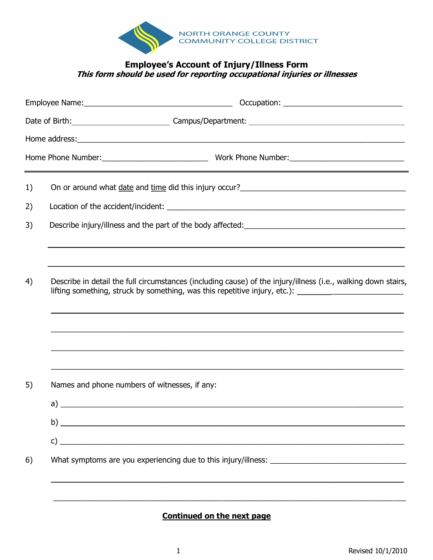

## **Employee's Account of Injury/Illness Form This form should be used for reporting occupational injuries or illnesses**

|    | <u> 1989 - Andrea Santa Andrea Andrea Andrea Andrea Andrea Andrea Andrea Andrea Andrea Andrea Andrea Andrea Andr</u>                                                                                                                   |  |  |
|----|----------------------------------------------------------------------------------------------------------------------------------------------------------------------------------------------------------------------------------------|--|--|
| 1) | On or around what date and time did this injury occur?<br><u>Denote and the set of the set of the set of the set of the set of the set of the set of the set of the set of the set of the set of the set of the set of the set of </u> |  |  |
| 2) |                                                                                                                                                                                                                                        |  |  |
| 3) |                                                                                                                                                                                                                                        |  |  |
|    |                                                                                                                                                                                                                                        |  |  |
| 4) | Describe in detail the full circumstances (including cause) of the injury/illness (i.e., walking down stairs,<br>lifting something, struck by something, was this repetitive injury, etc.): _________________________                  |  |  |
|    | ,我们也不能在这里的人,我们也不能在这里的人,我们也不能在这里的人,我们也不能在这里的人,我们也不能在这里的人,我们也不能在这里的人,我们也不能在这里的人,我们也                                                                                                                                                      |  |  |
|    | ,我们也不能在这里的时候,我们也不能在这里的时候,我们也不能在这里的时候,我们也不能会不能在这里的时候,我们也不能会不能会不能会不能会不能会不能会不能会不能会不                                                                                                                                                       |  |  |
| 5) | Names and phone numbers of witnesses, if any:                                                                                                                                                                                          |  |  |
|    |                                                                                                                                                                                                                                        |  |  |
|    | $\mathsf{b}$ )                                                                                                                                                                                                                         |  |  |
|    |                                                                                                                                                                                                                                        |  |  |
| 6) |                                                                                                                                                                                                                                        |  |  |
|    |                                                                                                                                                                                                                                        |  |  |

**Continued on the next page**

\_\_\_\_\_\_\_\_\_\_\_\_\_\_\_\_\_\_\_\_\_\_\_\_\_\_\_\_\_\_\_\_\_\_\_\_\_\_\_\_\_\_\_\_\_\_\_\_\_\_\_\_\_\_\_\_\_\_\_\_\_\_\_\_\_\_\_\_\_\_\_\_\_\_\_\_\_\_\_\_\_\_\_